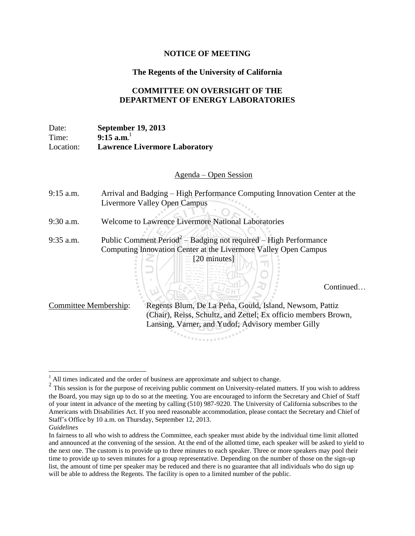## **NOTICE OF MEETING**

## **The Regents of the University of California**

## **COMMITTEE ON OVERSIGHT OF THE DEPARTMENT OF ENERGY LABORATORIES**

Date: **September 19, 2013** Time: **9:15 a.m.** 1 Location: **Lawrence Livermore Laboratory**

Agenda – Open Session

| $9:15$ a.m.                  | Arrival and Badging – High Performance Computing Innovation Center at the<br>Livermore Valley Open Campus                                                                      |
|------------------------------|--------------------------------------------------------------------------------------------------------------------------------------------------------------------------------|
| 9:30 a.m.                    | <b>Welcome to Lawrence Livermore National Laboratories</b>                                                                                                                     |
| $9:35$ a.m.                  | Public Comment $Period^2 - Badging$ not required $- High Performance$                                                                                                          |
|                              | Computing Innovation Center at the Livermore Valley Open Campus                                                                                                                |
|                              | 20 minutes]<br>Continued.                                                                                                                                                      |
| <b>Committee Membership:</b> | Regents Blum, De La Peña, Gould, Island, Newsom, Pattiz<br>(Chair), Reiss, Schultz, and Zettel; Ex officio members Brown,<br>Lansing, Varner, and Yudof; Advisory member Gilly |

 $\overline{a}$ All times indicated and the order of business are approximate and subject to change.

 $2$  This session is for the purpose of receiving public comment on University-related matters. If you wish to address the Board, you may sign up to do so at the meeting. You are encouraged to inform the Secretary and Chief of Staff of your intent in advance of the meeting by calling (510) 987-9220. The University of California subscribes to the Americans with Disabilities Act. If you need reasonable accommodation, please contact the Secretary and Chief of Staff's Office by 10 a.m. on Thursday, September 12, 2013.

*Guidelines*

In fairness to all who wish to address the Committee, each speaker must abide by the individual time limit allotted and announced at the convening of the session. At the end of the allotted time, each speaker will be asked to yield to the next one. The custom is to provide up to three minutes to each speaker. Three or more speakers may pool their time to provide up to seven minutes for a group representative. Depending on the number of those on the sign-up list, the amount of time per speaker may be reduced and there is no guarantee that all individuals who do sign up will be able to address the Regents. The facility is open to a limited number of the public.